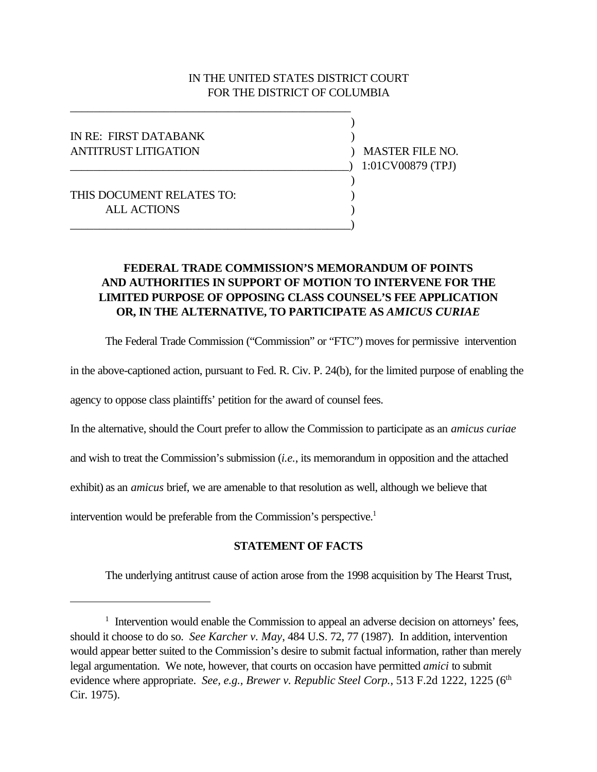## IN THE UNITED STATES DISTRICT COURT FOR THE DISTRICT OF COLUMBIA

) IN RE: FIRST DATABANK ) ANTITRUST LITIGATION ) MASTER FILE NO.  $\rightarrow$  1:01CV00879 (TPJ)  $\lambda$ THIS DOCUMENT RELATES TO:  $(1)$ ALL ACTIONS ) \_\_\_\_\_\_\_\_\_\_\_\_\_\_\_\_\_\_\_\_\_\_\_\_\_\_\_\_\_\_\_\_\_\_\_\_\_\_\_\_\_\_\_\_\_\_\_\_)

\_\_\_\_\_\_\_\_\_\_\_\_\_\_\_\_\_\_\_\_\_\_\_\_\_\_\_\_\_\_\_\_\_\_\_\_\_\_\_\_\_\_\_\_\_\_\_\_

# **FEDERAL TRADE COMMISSION'S MEMORANDUM OF POINTS AND AUTHORITIES IN SUPPORT OF MOTION TO INTERVENE FOR THE LIMITED PURPOSE OF OPPOSING CLASS COUNSEL'S FEE APPLICATION OR, IN THE ALTERNATIVE, TO PARTICIPATE AS** *AMICUS CURIAE*

The Federal Trade Commission ("Commission" or "FTC") moves for permissive intervention

in the above-captioned action, pursuant to Fed. R. Civ. P. 24(b), for the limited purpose of enabling the

agency to oppose class plaintiffs' petition for the award of counsel fees.

In the alternative, should the Court prefer to allow the Commission to participate as an *amicus curiae*

and wish to treat the Commission's submission (*i.e.*, its memorandum in opposition and the attached

exhibit) as an *amicus* brief, we are amenable to that resolution as well, although we believe that

intervention would be preferable from the Commission's perspective.<sup>1</sup>

## **STATEMENT OF FACTS**

The underlying antitrust cause of action arose from the 1998 acquisition by The Hearst Trust,

<sup>&</sup>lt;sup>1</sup> Intervention would enable the Commission to appeal an adverse decision on attorneys' fees, should it choose to do so. *See Karcher v. May*, 484 U.S. 72, 77 (1987). In addition, intervention would appear better suited to the Commission's desire to submit factual information, rather than merely legal argumentation. We note, however, that courts on occasion have permitted *amici* to submit evidence where appropriate. *See, e.g., Brewer v. Republic Steel Corp.*, 513 F.2d 1222, 1225 (6<sup>th</sup> Cir. 1975).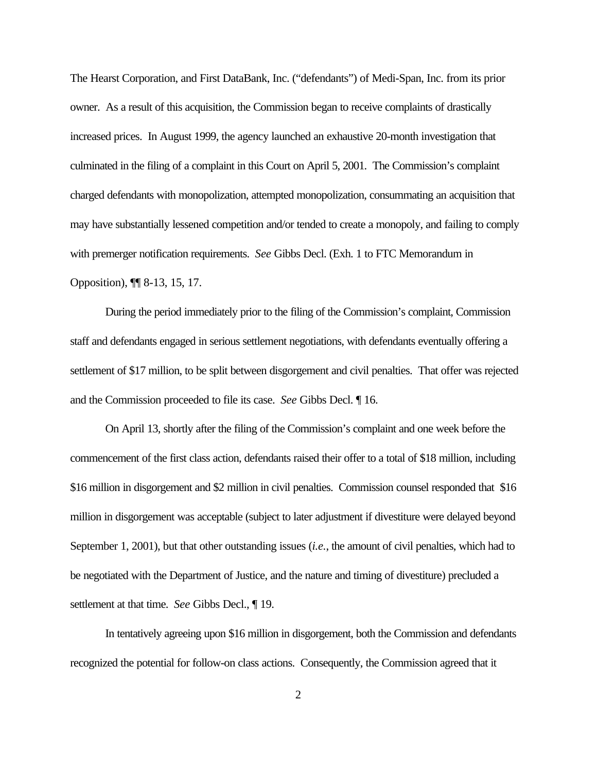The Hearst Corporation, and First DataBank, Inc. ("defendants") of Medi-Span, Inc. from its prior owner. As a result of this acquisition, the Commission began to receive complaints of drastically increased prices. In August 1999, the agency launched an exhaustive 20-month investigation that culminated in the filing of a complaint in this Court on April 5, 2001. The Commission's complaint charged defendants with monopolization, attempted monopolization, consummating an acquisition that may have substantially lessened competition and/or tended to create a monopoly, and failing to comply with premerger notification requirements. *See* Gibbs Decl. (Exh. 1 to FTC Memorandum in Opposition), ¶¶ 8-13, 15, 17.

During the period immediately prior to the filing of the Commission's complaint, Commission staff and defendants engaged in serious settlement negotiations, with defendants eventually offering a settlement of \$17 million, to be split between disgorgement and civil penalties. That offer was rejected and the Commission proceeded to file its case. *See* Gibbs Decl. ¶ 16.

On April 13, shortly after the filing of the Commission's complaint and one week before the commencement of the first class action, defendants raised their offer to a total of \$18 million, including \$16 million in disgorgement and \$2 million in civil penalties. Commission counsel responded that \$16 million in disgorgement was acceptable (subject to later adjustment if divestiture were delayed beyond September 1, 2001), but that other outstanding issues (*i.e.*, the amount of civil penalties, which had to be negotiated with the Department of Justice, and the nature and timing of divestiture) precluded a settlement at that time. *See* Gibbs Decl., ¶ 19.

In tentatively agreeing upon \$16 million in disgorgement, both the Commission and defendants recognized the potential for follow-on class actions. Consequently, the Commission agreed that it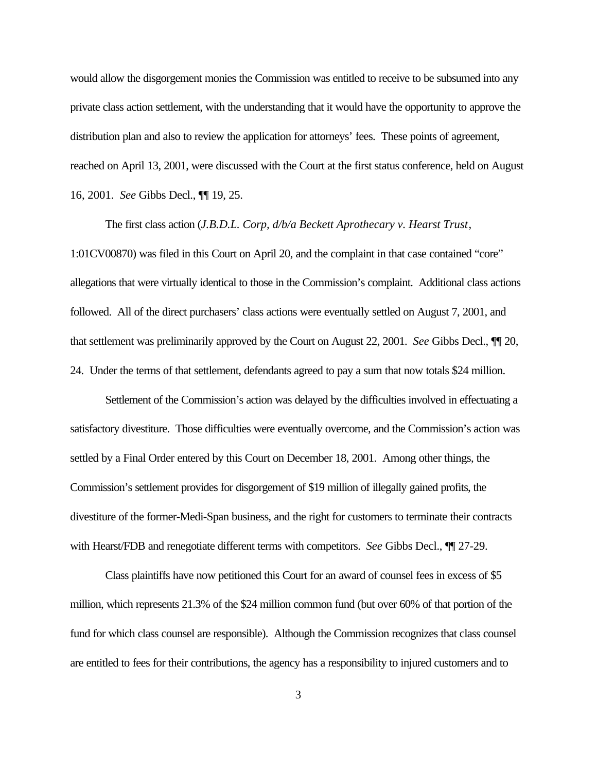would allow the disgorgement monies the Commission was entitled to receive to be subsumed into any private class action settlement, with the understanding that it would have the opportunity to approve the distribution plan and also to review the application for attorneys' fees. These points of agreement, reached on April 13, 2001, were discussed with the Court at the first status conference, held on August 16, 2001. *See* Gibbs Decl., ¶¶ 19, 25.

 The first class action (*J.B.D.L. Corp, d/b/a Beckett Aprothecary v. Hearst Trust*, 1:01CV00870) was filed in this Court on April 20, and the complaint in that case contained "core" allegations that were virtually identical to those in the Commission's complaint. Additional class actions followed. All of the direct purchasers' class actions were eventually settled on August 7, 2001, and that settlement was preliminarily approved by the Court on August 22, 2001. *See* Gibbs Decl., ¶¶ 20, 24. Under the terms of that settlement, defendants agreed to pay a sum that now totals \$24 million.

Settlement of the Commission's action was delayed by the difficulties involved in effectuating a satisfactory divestiture. Those difficulties were eventually overcome, and the Commission's action was settled by a Final Order entered by this Court on December 18, 2001. Among other things, the Commission's settlement provides for disgorgement of \$19 million of illegally gained profits, the divestiture of the former-Medi-Span business, and the right for customers to terminate their contracts with Hearst/FDB and renegotiate different terms with competitors. *See* Gibbs Decl., ¶¶ 27-29.

Class plaintiffs have now petitioned this Court for an award of counsel fees in excess of \$5 million, which represents 21.3% of the \$24 million common fund (but over 60% of that portion of the fund for which class counsel are responsible). Although the Commission recognizes that class counsel are entitled to fees for their contributions, the agency has a responsibility to injured customers and to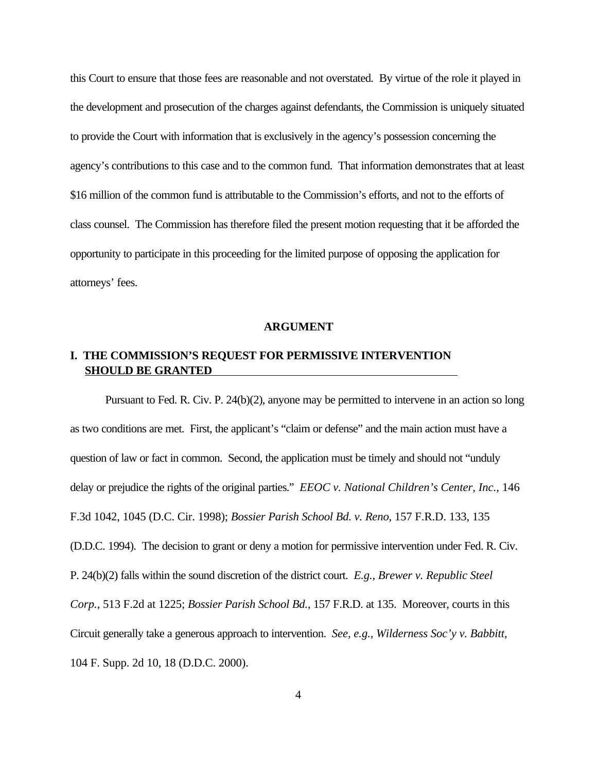this Court to ensure that those fees are reasonable and not overstated. By virtue of the role it played in the development and prosecution of the charges against defendants, the Commission is uniquely situated to provide the Court with information that is exclusively in the agency's possession concerning the agency's contributions to this case and to the common fund. That information demonstrates that at least \$16 million of the common fund is attributable to the Commission's efforts, and not to the efforts of class counsel. The Commission has therefore filed the present motion requesting that it be afforded the opportunity to participate in this proceeding for the limited purpose of opposing the application for attorneys' fees.

#### **ARGUMENT**

## **I. THE COMMISSION'S REQUEST FOR PERMISSIVE INTERVENTION SHOULD BE GRANTED**

Pursuant to Fed. R. Civ. P. 24(b)(2), anyone may be permitted to intervene in an action so long as two conditions are met. First, the applicant's "claim or defense" and the main action must have a question of law or fact in common. Second, the application must be timely and should not "unduly delay or prejudice the rights of the original parties." *EEOC v. National Children's Center, Inc.*, 146 F.3d 1042, 1045 (D.C. Cir. 1998); *Bossier Parish School Bd. v. Reno*, 157 F.R.D. 133, 135 (D.D.C. 1994). The decision to grant or deny a motion for permissive intervention under Fed. R. Civ. P. 24(b)(2) falls within the sound discretion of the district court. *E.g., Brewer v. Republic Steel Corp.*, 513 F.2d at 1225; *Bossier Parish School Bd.*, 157 F.R.D. at 135. Moreover, courts in this Circuit generally take a generous approach to intervention. *See, e.g., Wilderness Soc'y v. Babbitt*, 104 F. Supp. 2d 10, 18 (D.D.C. 2000).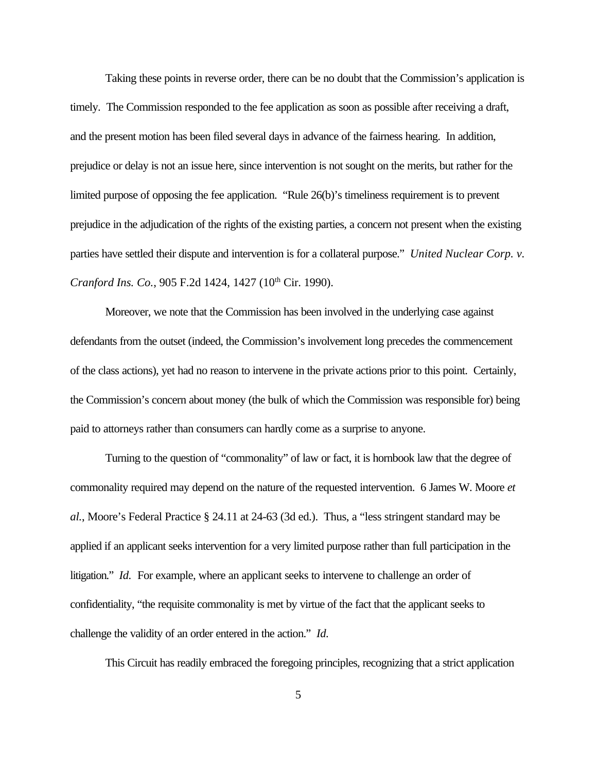Taking these points in reverse order, there can be no doubt that the Commission's application is timely. The Commission responded to the fee application as soon as possible after receiving a draft, and the present motion has been filed several days in advance of the fairness hearing. In addition, prejudice or delay is not an issue here, since intervention is not sought on the merits, but rather for the limited purpose of opposing the fee application. "Rule 26(b)'s timeliness requirement is to prevent prejudice in the adjudication of the rights of the existing parties, a concern not present when the existing parties have settled their dispute and intervention is for a collateral purpose." *United Nuclear Corp. v. Cranford Ins. Co.*, 905 F.2d 1424, 1427 (10<sup>th</sup> Cir. 1990).

Moreover, we note that the Commission has been involved in the underlying case against defendants from the outset (indeed, the Commission's involvement long precedes the commencement of the class actions), yet had no reason to intervene in the private actions prior to this point. Certainly, the Commission's concern about money (the bulk of which the Commission was responsible for) being paid to attorneys rather than consumers can hardly come as a surprise to anyone.

Turning to the question of "commonality" of law or fact, it is hornbook law that the degree of commonality required may depend on the nature of the requested intervention. 6 James W. Moore *et al.*, Moore's Federal Practice § 24.11 at 24-63 (3d ed.). Thus, a "less stringent standard may be applied if an applicant seeks intervention for a very limited purpose rather than full participation in the litigation." *Id.* For example, where an applicant seeks to intervene to challenge an order of confidentiality, "the requisite commonality is met by virtue of the fact that the applicant seeks to challenge the validity of an order entered in the action." *Id.* 

This Circuit has readily embraced the foregoing principles, recognizing that a strict application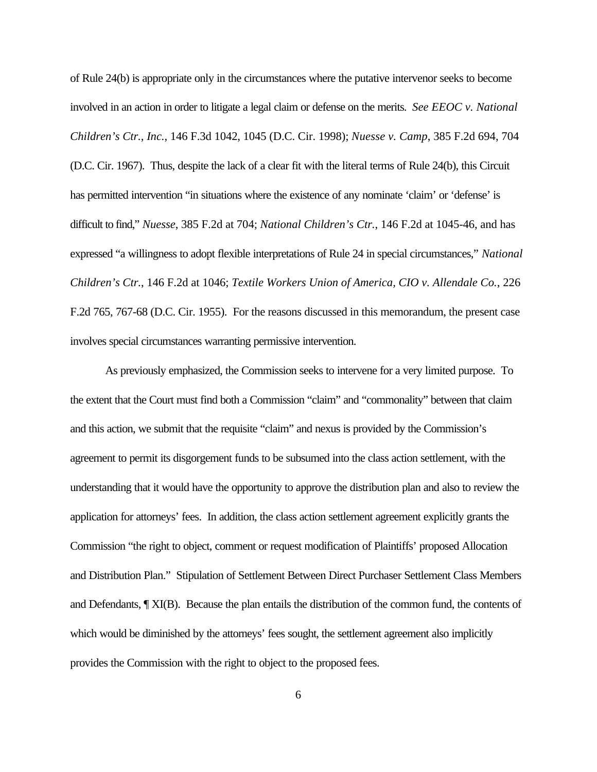of Rule 24(b) is appropriate only in the circumstances where the putative intervenor seeks to become involved in an action in order to litigate a legal claim or defense on the merits. *See EEOC v. National Children's Ctr., Inc.*, 146 F.3d 1042, 1045 (D.C. Cir. 1998); *Nuesse v. Camp*, 385 F.2d 694, 704 (D.C. Cir. 1967). Thus, despite the lack of a clear fit with the literal terms of Rule 24(b), this Circuit has permitted intervention "in situations where the existence of any nominate 'claim' or 'defense' is difficult to find," *Nuesse*, 385 F.2d at 704; *National Children's Ctr.*, 146 F.2d at 1045-46, and has expressed "a willingness to adopt flexible interpretations of Rule 24 in special circumstances," *National Children's Ctr.*, 146 F.2d at 1046; *Textile Workers Union of America, CIO v. Allendale Co.*, 226 F.2d 765, 767-68 (D.C. Cir. 1955). For the reasons discussed in this memorandum, the present case involves special circumstances warranting permissive intervention.

As previously emphasized, the Commission seeks to intervene for a very limited purpose. To the extent that the Court must find both a Commission "claim" and "commonality" between that claim and this action, we submit that the requisite "claim" and nexus is provided by the Commission's agreement to permit its disgorgement funds to be subsumed into the class action settlement, with the understanding that it would have the opportunity to approve the distribution plan and also to review the application for attorneys' fees. In addition, the class action settlement agreement explicitly grants the Commission "the right to object, comment or request modification of Plaintiffs' proposed Allocation and Distribution Plan." Stipulation of Settlement Between Direct Purchaser Settlement Class Members and Defendants, ¶ XI(B). Because the plan entails the distribution of the common fund, the contents of which would be diminished by the attorneys' fees sought, the settlement agreement also implicitly provides the Commission with the right to object to the proposed fees.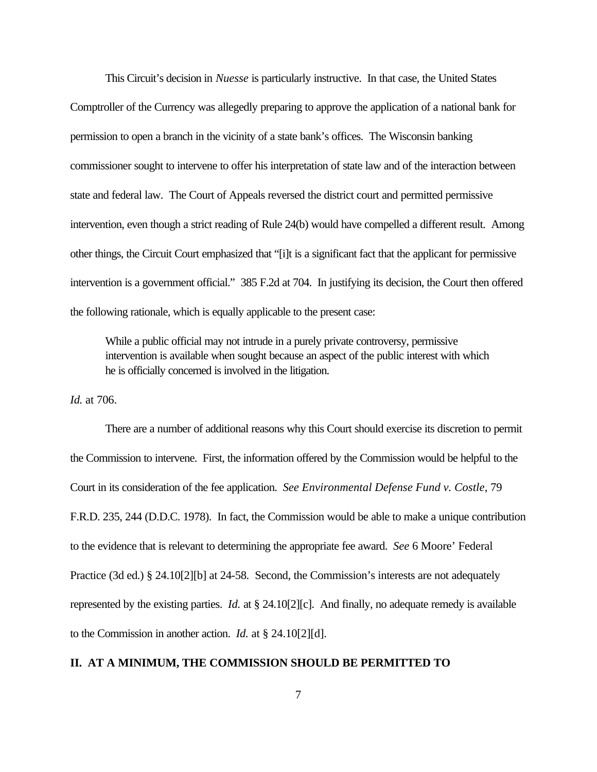This Circuit's decision in *Nuesse* is particularly instructive. In that case, the United States Comptroller of the Currency was allegedly preparing to approve the application of a national bank for permission to open a branch in the vicinity of a state bank's offices. The Wisconsin banking commissioner sought to intervene to offer his interpretation of state law and of the interaction between state and federal law. The Court of Appeals reversed the district court and permitted permissive intervention, even though a strict reading of Rule 24(b) would have compelled a different result. Among other things, the Circuit Court emphasized that "[i]t is a significant fact that the applicant for permissive intervention is a government official." 385 F.2d at 704. In justifying its decision, the Court then offered the following rationale, which is equally applicable to the present case:

While a public official may not intrude in a purely private controversy, permissive intervention is available when sought because an aspect of the public interest with which he is officially concerned is involved in the litigation.

*Id.* at 706.

There are a number of additional reasons why this Court should exercise its discretion to permit the Commission to intervene. First, the information offered by the Commission would be helpful to the Court in its consideration of the fee application. *See Environmental Defense Fund v. Costle*, 79 F.R.D. 235, 244 (D.D.C. 1978). In fact, the Commission would be able to make a unique contribution to the evidence that is relevant to determining the appropriate fee award. *See* 6 Moore' Federal Practice (3d ed.) § 24.10[2][b] at 24-58. Second, the Commission's interests are not adequately represented by the existing parties. *Id.* at § 24.10[2][c]. And finally, no adequate remedy is available to the Commission in another action. *Id.* at § 24.10[2][d].

### **II. AT A MINIMUM, THE COMMISSION SHOULD BE PERMITTED TO**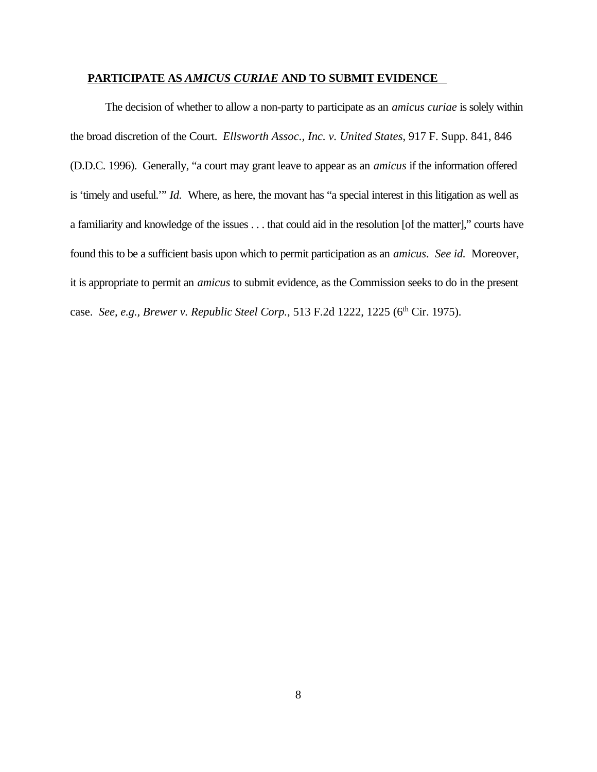#### **PARTICIPATE AS** *AMICUS CURIAE* **AND TO SUBMIT EVIDENCE**

The decision of whether to allow a non-party to participate as an *amicus curiae* is solely within the broad discretion of the Court. *Ellsworth Assoc., Inc. v. United States*, 917 F. Supp. 841, 846 (D.D.C. 1996). Generally, "a court may grant leave to appear as an *amicus* if the information offered is 'timely and useful.'" *Id.* Where, as here, the movant has "a special interest in this litigation as well as a familiarity and knowledge of the issues . . . that could aid in the resolution [of the matter]," courts have found this to be a sufficient basis upon which to permit participation as an *amicus*. *See id.* Moreover, it is appropriate to permit an *amicus* to submit evidence, as the Commission seeks to do in the present case. *See, e.g., Brewer v. Republic Steel Corp.*, 513 F.2d 1222, 1225 (6<sup>th</sup> Cir. 1975).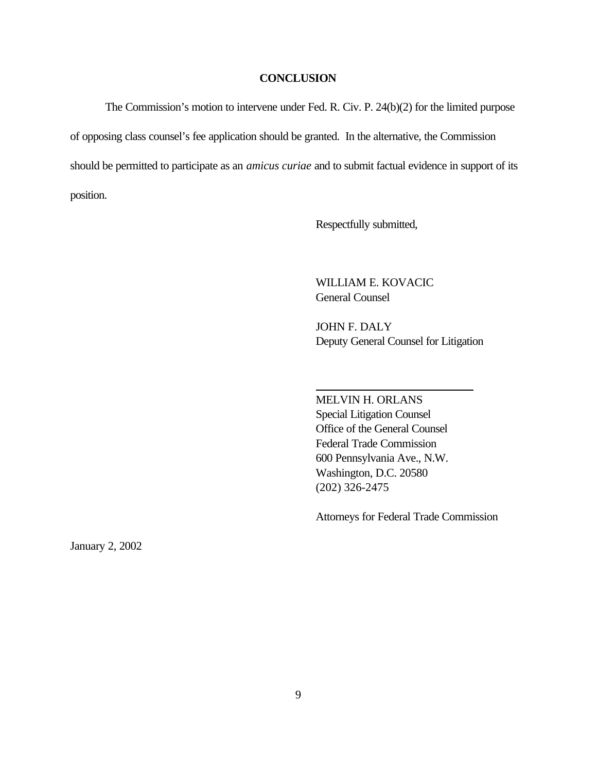#### **CONCLUSION**

The Commission's motion to intervene under Fed. R. Civ. P. 24(b)(2) for the limited purpose of opposing class counsel's fee application should be granted. In the alternative, the Commission should be permitted to participate as an *amicus curiae* and to submit factual evidence in support of its position.

 $\overline{a}$ 

Respectfully submitted,

WILLIAM E. KOVACIC General Counsel

JOHN F. DALY Deputy General Counsel for Litigation

MELVIN H. ORLANS Special Litigation Counsel Office of the General Counsel Federal Trade Commission 600 Pennsylvania Ave., N.W. Washington, D.C. 20580 (202) 326-2475

Attorneys for Federal Trade Commission

January 2, 2002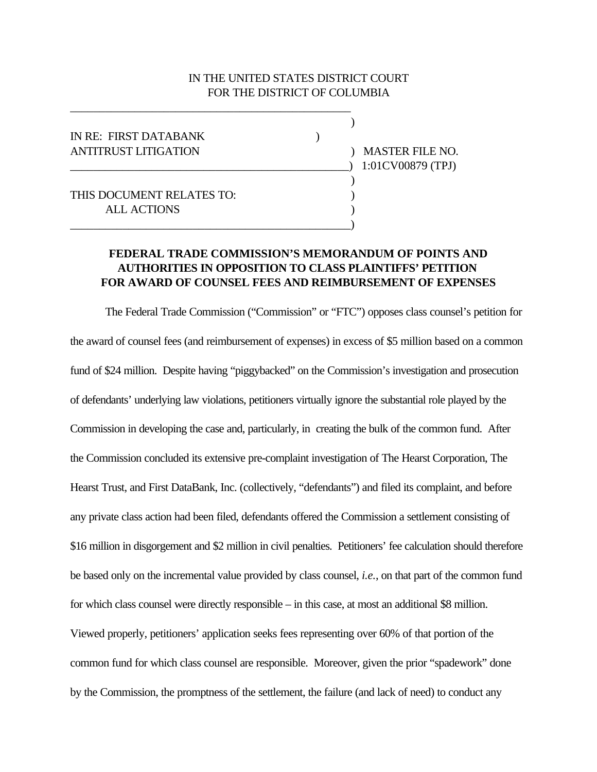## IN THE UNITED STATES DISTRICT COURT FOR THE DISTRICT OF COLUMBIA

| IN RE: FIRST DATABANK       |                        |
|-----------------------------|------------------------|
| <b>ANTITRUST LITIGATION</b> | <b>MASTER FILE NO.</b> |
|                             | 1:01CV00879 (TPJ)      |
|                             |                        |
| THIS DOCUMENT RELATES TO:   |                        |
| <b>ALL ACTIONS</b>          |                        |
|                             |                        |

\_\_\_\_\_\_\_\_\_\_\_\_\_\_\_\_\_\_\_\_\_\_\_\_\_\_\_\_\_\_\_\_\_\_\_\_\_\_\_\_\_\_\_\_\_\_\_\_

# **FEDERAL TRADE COMMISSION'S MEMORANDUM OF POINTS AND AUTHORITIES IN OPPOSITION TO CLASS PLAINTIFFS' PETITION FOR AWARD OF COUNSEL FEES AND REIMBURSEMENT OF EXPENSES**

The Federal Trade Commission ("Commission" or "FTC") opposes class counsel's petition for the award of counsel fees (and reimbursement of expenses) in excess of \$5 million based on a common fund of \$24 million. Despite having "piggybacked" on the Commission's investigation and prosecution of defendants' underlying law violations, petitioners virtually ignore the substantial role played by the Commission in developing the case and, particularly, in creating the bulk of the common fund. After the Commission concluded its extensive pre-complaint investigation of The Hearst Corporation, The Hearst Trust, and First DataBank, Inc. (collectively, "defendants") and filed its complaint, and before any private class action had been filed, defendants offered the Commission a settlement consisting of \$16 million in disgorgement and \$2 million in civil penalties. Petitioners' fee calculation should therefore be based only on the incremental value provided by class counsel, *i.e.*, on that part of the common fund for which class counsel were directly responsible – in this case, at most an additional \$8 million. Viewed properly, petitioners' application seeks fees representing over 60% of that portion of the common fund for which class counsel are responsible. Moreover, given the prior "spadework" done by the Commission, the promptness of the settlement, the failure (and lack of need) to conduct any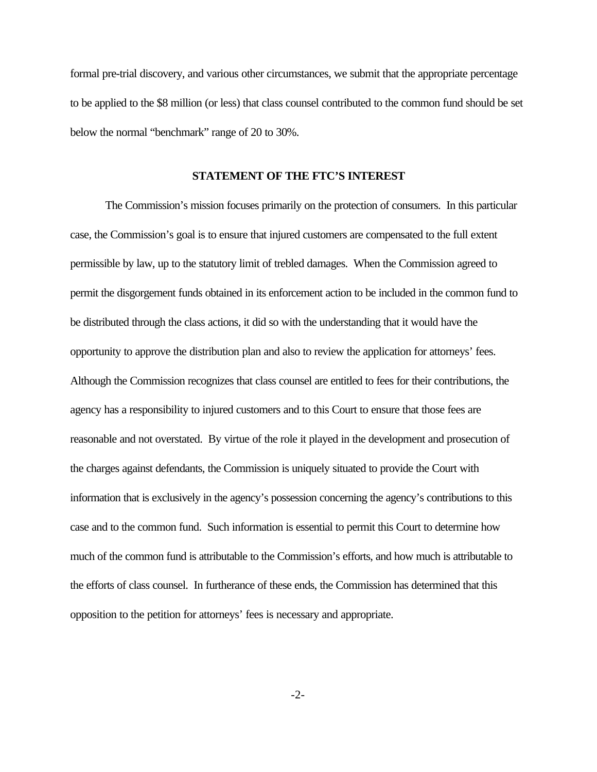formal pre-trial discovery, and various other circumstances, we submit that the appropriate percentage to be applied to the \$8 million (or less) that class counsel contributed to the common fund should be set below the normal "benchmark" range of 20 to 30%.

#### **STATEMENT OF THE FTC'S INTEREST**

The Commission's mission focuses primarily on the protection of consumers. In this particular case, the Commission's goal is to ensure that injured customers are compensated to the full extent permissible by law, up to the statutory limit of trebled damages. When the Commission agreed to permit the disgorgement funds obtained in its enforcement action to be included in the common fund to be distributed through the class actions, it did so with the understanding that it would have the opportunity to approve the distribution plan and also to review the application for attorneys' fees. Although the Commission recognizes that class counsel are entitled to fees for their contributions, the agency has a responsibility to injured customers and to this Court to ensure that those fees are reasonable and not overstated. By virtue of the role it played in the development and prosecution of the charges against defendants, the Commission is uniquely situated to provide the Court with information that is exclusively in the agency's possession concerning the agency's contributions to this case and to the common fund. Such information is essential to permit this Court to determine how much of the common fund is attributable to the Commission's efforts, and how much is attributable to the efforts of class counsel. In furtherance of these ends, the Commission has determined that this opposition to the petition for attorneys' fees is necessary and appropriate.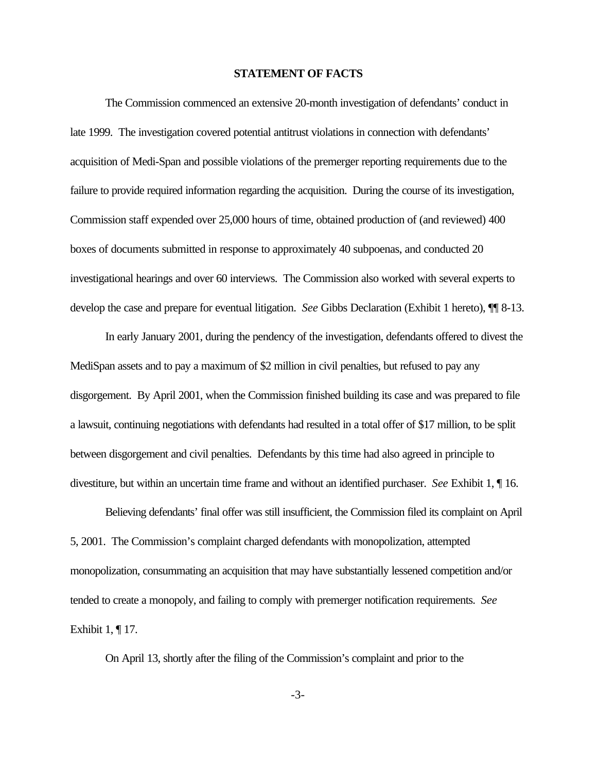#### **STATEMENT OF FACTS**

The Commission commenced an extensive 20-month investigation of defendants' conduct in late 1999. The investigation covered potential antitrust violations in connection with defendants' acquisition of Medi-Span and possible violations of the premerger reporting requirements due to the failure to provide required information regarding the acquisition. During the course of its investigation, Commission staff expended over 25,000 hours of time, obtained production of (and reviewed) 400 boxes of documents submitted in response to approximately 40 subpoenas, and conducted 20 investigational hearings and over 60 interviews. The Commission also worked with several experts to develop the case and prepare for eventual litigation. *See* Gibbs Declaration (Exhibit 1 hereto), ¶¶ 8-13.

In early January 2001, during the pendency of the investigation, defendants offered to divest the MediSpan assets and to pay a maximum of \$2 million in civil penalties, but refused to pay any disgorgement. By April 2001, when the Commission finished building its case and was prepared to file a lawsuit, continuing negotiations with defendants had resulted in a total offer of \$17 million, to be split between disgorgement and civil penalties. Defendants by this time had also agreed in principle to divestiture, but within an uncertain time frame and without an identified purchaser. *See* Exhibit 1, ¶ 16.

Believing defendants' final offer was still insufficient, the Commission filed its complaint on April 5, 2001. The Commission's complaint charged defendants with monopolization, attempted monopolization, consummating an acquisition that may have substantially lessened competition and/or tended to create a monopoly, and failing to comply with premerger notification requirements. *See* Exhibit 1, ¶ 17.

On April 13, shortly after the filing of the Commission's complaint and prior to the

-3-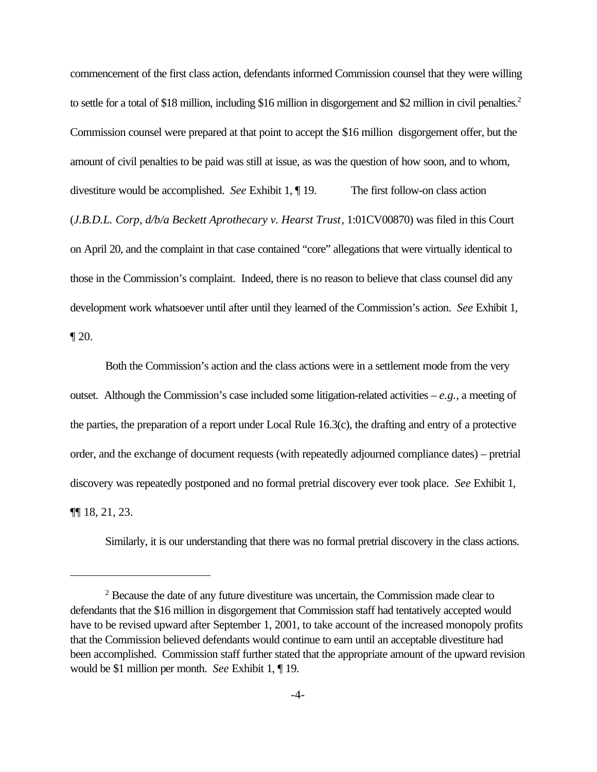commencement of the first class action, defendants informed Commission counsel that they were willing to settle for a total of \$18 million, including \$16 million in disgorgement and \$2 million in civil penalties.<sup>2</sup> Commission counsel were prepared at that point to accept the \$16 million disgorgement offer, but the amount of civil penalties to be paid was still at issue, as was the question of how soon, and to whom, divestiture would be accomplished. *See* Exhibit 1, ¶ 19. The first follow-on class action (*J.B.D.L. Corp, d/b/a Beckett Aprothecary v. Hearst Trust*, 1:01CV00870) was filed in this Court on April 20, and the complaint in that case contained "core" allegations that were virtually identical to those in the Commission's complaint. Indeed, there is no reason to believe that class counsel did any development work whatsoever until after until they learned of the Commission's action. *See* Exhibit 1, ¶ 20.

Both the Commission's action and the class actions were in a settlement mode from the very outset. Although the Commission's case included some litigation-related activities – *e.g.*, a meeting of the parties, the preparation of a report under Local Rule 16.3(c), the drafting and entry of a protective order, and the exchange of document requests (with repeatedly adjourned compliance dates) – pretrial discovery was repeatedly postponed and no formal pretrial discovery ever took place. *See* Exhibit 1, ¶¶ 18, 21, 23.

Similarly, it is our understanding that there was no formal pretrial discovery in the class actions.

<sup>&</sup>lt;sup>2</sup> Because the date of any future divestiture was uncertain, the Commission made clear to defendants that the \$16 million in disgorgement that Commission staff had tentatively accepted would have to be revised upward after September 1, 2001, to take account of the increased monopoly profits that the Commission believed defendants would continue to earn until an acceptable divestiture had been accomplished. Commission staff further stated that the appropriate amount of the upward revision would be \$1 million per month. *See* Exhibit 1, ¶ 19.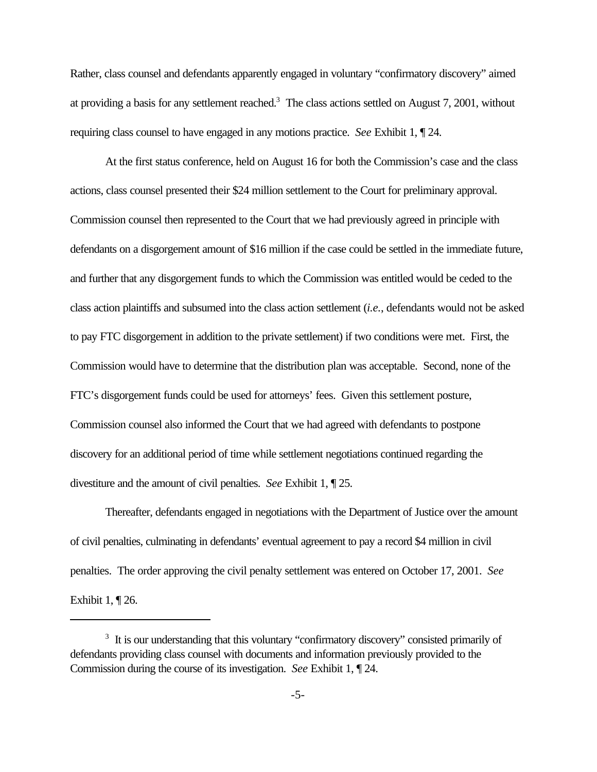Rather, class counsel and defendants apparently engaged in voluntary "confirmatory discovery" aimed at providing a basis for any settlement reached.<sup>3</sup> The class actions settled on August 7, 2001, without requiring class counsel to have engaged in any motions practice. *See* Exhibit 1, ¶ 24.

At the first status conference, held on August 16 for both the Commission's case and the class actions, class counsel presented their \$24 million settlement to the Court for preliminary approval. Commission counsel then represented to the Court that we had previously agreed in principle with defendants on a disgorgement amount of \$16 million if the case could be settled in the immediate future, and further that any disgorgement funds to which the Commission was entitled would be ceded to the class action plaintiffs and subsumed into the class action settlement (*i.e.*, defendants would not be asked to pay FTC disgorgement in addition to the private settlement) if two conditions were met. First, the Commission would have to determine that the distribution plan was acceptable. Second, none of the FTC's disgorgement funds could be used for attorneys' fees. Given this settlement posture, Commission counsel also informed the Court that we had agreed with defendants to postpone discovery for an additional period of time while settlement negotiations continued regarding the divestiture and the amount of civil penalties. *See* Exhibit 1, ¶ 25.

Thereafter, defendants engaged in negotiations with the Department of Justice over the amount of civil penalties, culminating in defendants' eventual agreement to pay a record \$4 million in civil penalties. The order approving the civil penalty settlement was entered on October 17, 2001. *See* Exhibit 1,  $\P$  26.

<sup>&</sup>lt;sup>3</sup> It is our understanding that this voluntary "confirmatory discovery" consisted primarily of defendants providing class counsel with documents and information previously provided to the Commission during the course of its investigation. *See* Exhibit 1, ¶ 24.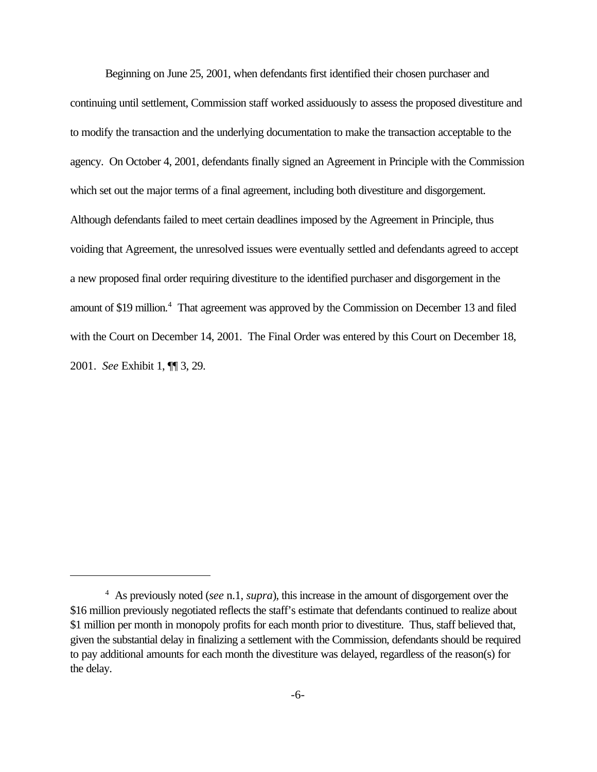Beginning on June 25, 2001, when defendants first identified their chosen purchaser and continuing until settlement, Commission staff worked assiduously to assess the proposed divestiture and to modify the transaction and the underlying documentation to make the transaction acceptable to the agency. On October 4, 2001, defendants finally signed an Agreement in Principle with the Commission which set out the major terms of a final agreement, including both divestiture and disgorgement. Although defendants failed to meet certain deadlines imposed by the Agreement in Principle, thus voiding that Agreement, the unresolved issues were eventually settled and defendants agreed to accept a new proposed final order requiring divestiture to the identified purchaser and disgorgement in the amount of \$19 million.<sup>4</sup> That agreement was approved by the Commission on December 13 and filed with the Court on December 14, 2001. The Final Order was entered by this Court on December 18, 2001. *See* Exhibit 1, ¶¶ 3, 29.

<sup>4</sup> As previously noted (*see* n.1, *supra*), this increase in the amount of disgorgement over the \$16 million previously negotiated reflects the staff's estimate that defendants continued to realize about \$1 million per month in monopoly profits for each month prior to divestiture. Thus, staff believed that, given the substantial delay in finalizing a settlement with the Commission, defendants should be required to pay additional amounts for each month the divestiture was delayed, regardless of the reason(s) for the delay.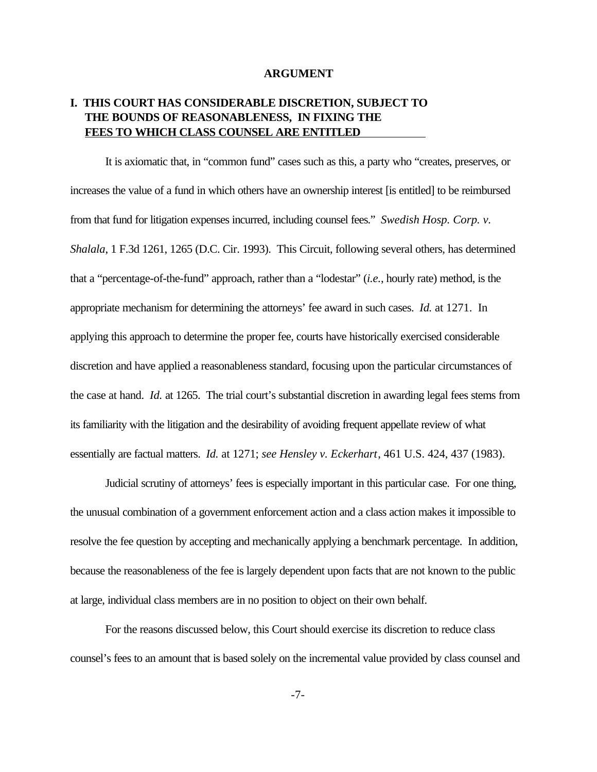#### **ARGUMENT**

# **I. THIS COURT HAS CONSIDERABLE DISCRETION, SUBJECT TO THE BOUNDS OF REASONABLENESS, IN FIXING THE FEES TO WHICH CLASS COUNSEL ARE ENTITLED**

It is axiomatic that, in "common fund" cases such as this, a party who "creates, preserves, or increases the value of a fund in which others have an ownership interest [is entitled] to be reimbursed from that fund for litigation expenses incurred, including counsel fees." *Swedish Hosp. Corp. v. Shalala*, 1 F.3d 1261, 1265 (D.C. Cir. 1993). This Circuit, following several others, has determined that a "percentage-of-the-fund" approach, rather than a "lodestar" (*i.e.*, hourly rate) method, is the appropriate mechanism for determining the attorneys' fee award in such cases. *Id.* at 1271. In applying this approach to determine the proper fee, courts have historically exercised considerable discretion and have applied a reasonableness standard, focusing upon the particular circumstances of the case at hand. *Id.* at 1265. The trial court's substantial discretion in awarding legal fees stems from its familiarity with the litigation and the desirability of avoiding frequent appellate review of what essentially are factual matters. *Id.* at 1271; *see Hensley v. Eckerhart*, 461 U.S. 424, 437 (1983).

Judicial scrutiny of attorneys' fees is especially important in this particular case. For one thing, the unusual combination of a government enforcement action and a class action makes it impossible to resolve the fee question by accepting and mechanically applying a benchmark percentage. In addition, because the reasonableness of the fee is largely dependent upon facts that are not known to the public at large, individual class members are in no position to object on their own behalf.

For the reasons discussed below, this Court should exercise its discretion to reduce class counsel's fees to an amount that is based solely on the incremental value provided by class counsel and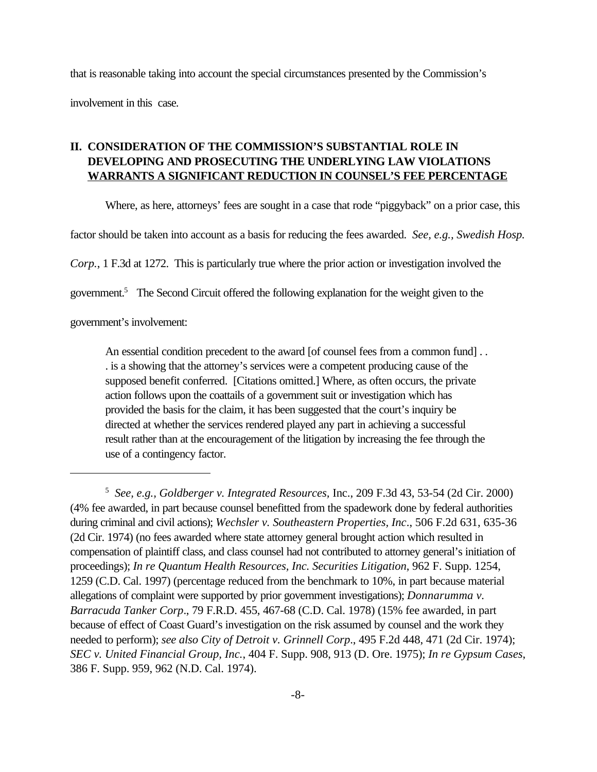that is reasonable taking into account the special circumstances presented by the Commission's

involvement in this case.

# **II. CONSIDERATION OF THE COMMISSION'S SUBSTANTIAL ROLE IN DEVELOPING AND PROSECUTING THE UNDERLYING LAW VIOLATIONS WARRANTS A SIGNIFICANT REDUCTION IN COUNSEL'S FEE PERCENTAGE**

Where, as here, attorneys' fees are sought in a case that rode "piggyback" on a prior case, this

factor should be taken into account as a basis for reducing the fees awarded. *See, e.g., Swedish Hosp.*

*Corp.*, 1 F.3d at 1272. This is particularly true where the prior action or investigation involved the

government.<sup>5</sup> The Second Circuit offered the following explanation for the weight given to the

government's involvement:

An essential condition precedent to the award [of counsel fees from a common fund].. . is a showing that the attorney's services were a competent producing cause of the supposed benefit conferred. [Citations omitted.] Where, as often occurs, the private action follows upon the coattails of a government suit or investigation which has provided the basis for the claim, it has been suggested that the court's inquiry be directed at whether the services rendered played any part in achieving a successful result rather than at the encouragement of the litigation by increasing the fee through the use of a contingency factor.

<sup>5</sup> *See, e.g., Goldberger v. Integrated Resources,* Inc., 209 F.3d 43, 53-54 (2d Cir. 2000) (4% fee awarded, in part because counsel benefitted from the spadework done by federal authorities during criminal and civil actions); *Wechsler v. Southeastern Properties, Inc*., 506 F.2d 631, 635-36 (2d Cir. 1974) (no fees awarded where state attorney general brought action which resulted in compensation of plaintiff class, and class counsel had not contributed to attorney general's initiation of proceedings); *In re Quantum Health Resources, Inc. Securities Litigation*, 962 F. Supp. 1254, 1259 (C.D. Cal. 1997) (percentage reduced from the benchmark to 10%, in part because material allegations of complaint were supported by prior government investigations); *Donnarumma v. Barracuda Tanker Corp*., 79 F.R.D. 455, 467-68 (C.D. Cal. 1978) (15% fee awarded, in part because of effect of Coast Guard's investigation on the risk assumed by counsel and the work they needed to perform); *see also City of Detroit v. Grinnell Corp*., 495 F.2d 448, 471 (2d Cir. 1974); *SEC v. United Financial Group, Inc.*, 404 F. Supp. 908, 913 (D. Ore. 1975); *In re Gypsum Cases*, 386 F. Supp. 959, 962 (N.D. Cal. 1974).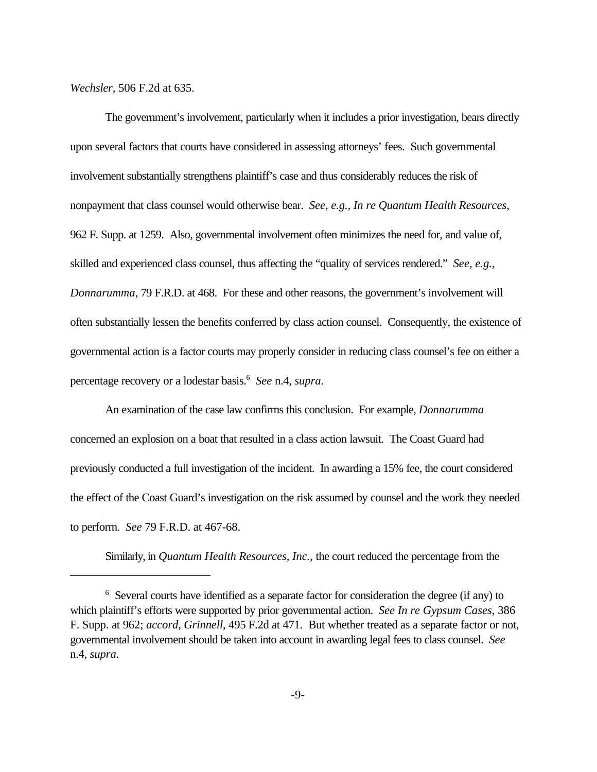*Wechsler*, 506 F.2d at 635.

The government's involvement, particularly when it includes a prior investigation, bears directly upon several factors that courts have considered in assessing attorneys' fees. Such governmental involvement substantially strengthens plaintiff's case and thus considerably reduces the risk of nonpayment that class counsel would otherwise bear. *See, e.g., In re Quantum Health Resources*, 962 F. Supp. at 1259. Also, governmental involvement often minimizes the need for, and value of, skilled and experienced class counsel, thus affecting the "quality of services rendered." *See, e.g., Donnarumma*, 79 F.R.D. at 468. For these and other reasons, the government's involvement will often substantially lessen the benefits conferred by class action counsel. Consequently, the existence of governmental action is a factor courts may properly consider in reducing class counsel's fee on either a percentage recovery or a lodestar basis.<sup>6</sup> *See* n.4, *supra*.

An examination of the case law confirms this conclusion. For example, *Donnarumma* concerned an explosion on a boat that resulted in a class action lawsuit. The Coast Guard had previously conducted a full investigation of the incident. In awarding a 15% fee, the court considered the effect of the Coast Guard's investigation on the risk assumed by counsel and the work they needed to perform. *See* 79 F.R.D. at 467-68.

Similarly, in *Quantum Health Resources, Inc.,* the court reduced the percentage from the

<sup>&</sup>lt;sup>6</sup> Several courts have identified as a separate factor for consideration the degree (if any) to which plaintiff's efforts were supported by prior governmental action. *See In re Gypsum Cases*, 386 F. Supp. at 962; *accord, Grinnell*, 495 F.2d at 471. But whether treated as a separate factor or not, governmental involvement should be taken into account in awarding legal fees to class counsel. *See* n.4, *supra*.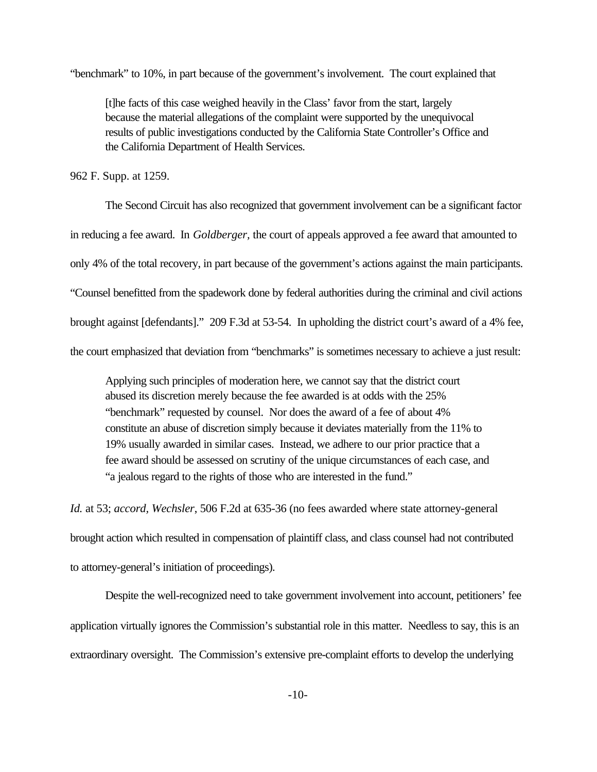"benchmark" to 10%, in part because of the government's involvement. The court explained that

[t]he facts of this case weighed heavily in the Class' favor from the start, largely because the material allegations of the complaint were supported by the unequivocal results of public investigations conducted by the California State Controller's Office and the California Department of Health Services.

962 F. Supp. at 1259.

The Second Circuit has also recognized that government involvement can be a significant factor in reducing a fee award. In *Goldberger,* the court of appeals approved a fee award that amounted to only 4% of the total recovery, in part because of the government's actions against the main participants. "Counsel benefitted from the spadework done by federal authorities during the criminal and civil actions brought against [defendants]." 209 F.3d at 53-54. In upholding the district court's award of a 4% fee, the court emphasized that deviation from "benchmarks" is sometimes necessary to achieve a just result:

Applying such principles of moderation here, we cannot say that the district court abused its discretion merely because the fee awarded is at odds with the 25% "benchmark" requested by counsel. Nor does the award of a fee of about 4% constitute an abuse of discretion simply because it deviates materially from the 11% to 19% usually awarded in similar cases. Instead, we adhere to our prior practice that a fee award should be assessed on scrutiny of the unique circumstances of each case, and "a jealous regard to the rights of those who are interested in the fund."

*Id.* at 53; *accord, Wechsler*, 506 F.2d at 635-36 (no fees awarded where state attorney-general brought action which resulted in compensation of plaintiff class, and class counsel had not contributed to attorney-general's initiation of proceedings).

Despite the well-recognized need to take government involvement into account, petitioners' fee application virtually ignores the Commission's substantial role in this matter. Needless to say, this is an extraordinary oversight. The Commission's extensive pre-complaint efforts to develop the underlying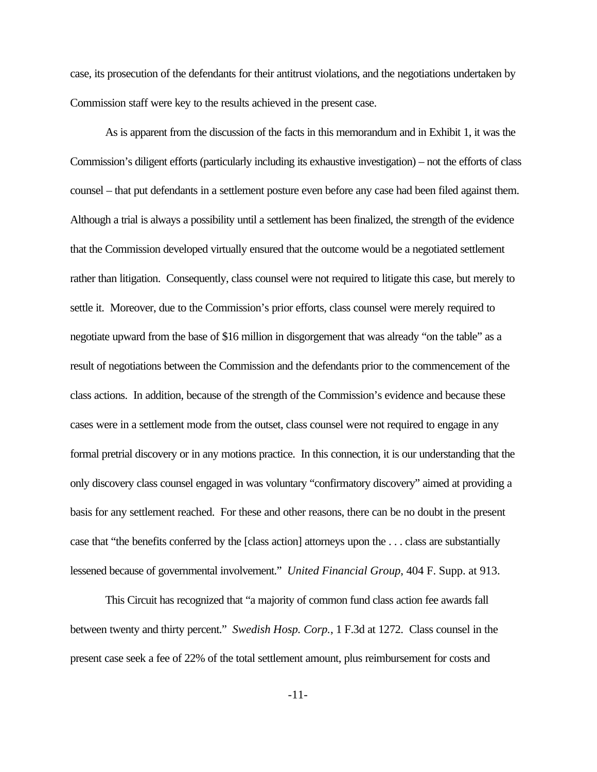case, its prosecution of the defendants for their antitrust violations, and the negotiations undertaken by Commission staff were key to the results achieved in the present case.

As is apparent from the discussion of the facts in this memorandum and in Exhibit 1, it was the Commission's diligent efforts (particularly including its exhaustive investigation) – not the efforts of class counsel – that put defendants in a settlement posture even before any case had been filed against them. Although a trial is always a possibility until a settlement has been finalized, the strength of the evidence that the Commission developed virtually ensured that the outcome would be a negotiated settlement rather than litigation. Consequently, class counsel were not required to litigate this case, but merely to settle it. Moreover, due to the Commission's prior efforts, class counsel were merely required to negotiate upward from the base of \$16 million in disgorgement that was already "on the table" as a result of negotiations between the Commission and the defendants prior to the commencement of the class actions. In addition, because of the strength of the Commission's evidence and because these cases were in a settlement mode from the outset, class counsel were not required to engage in any formal pretrial discovery or in any motions practice. In this connection, it is our understanding that the only discovery class counsel engaged in was voluntary "confirmatory discovery" aimed at providing a basis for any settlement reached. For these and other reasons, there can be no doubt in the present case that "the benefits conferred by the [class action] attorneys upon the . . . class are substantially lessened because of governmental involvement." *United Financial Group*, 404 F. Supp. at 913.

This Circuit has recognized that "a majority of common fund class action fee awards fall between twenty and thirty percent." *Swedish Hosp. Corp.*, 1 F.3d at 1272. Class counsel in the present case seek a fee of 22% of the total settlement amount, plus reimbursement for costs and

-11-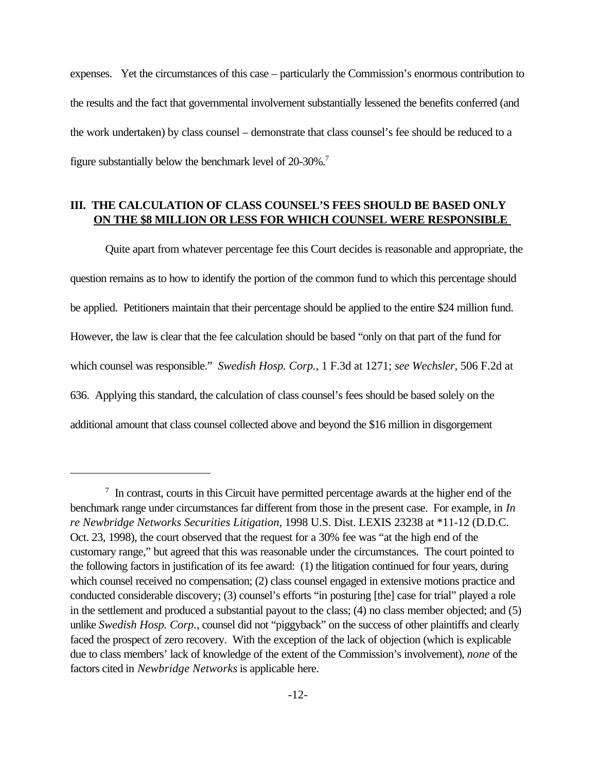expenses. Yet the circumstances of this case – particularly the Commission's enormous contribution to the results and the fact that governmental involvement substantially lessened the benefits conferred (and the work undertaken) by class counsel – demonstrate that class counsel's fee should be reduced to a figure substantially below the benchmark level of 20-30%.<sup>7</sup>

# **III. THE CALCULATION OF CLASS COUNSEL'S FEES SHOULD BE BASED ONLY ON THE \$8 MILLION OR LESS FOR WHICH COUNSEL WERE RESPONSIBLE**

Quite apart from whatever percentage fee this Court decides is reasonable and appropriate, the question remains as to how to identify the portion of the common fund to which this percentage should be applied. Petitioners maintain that their percentage should be applied to the entire \$24 million fund. However, the law is clear that the fee calculation should be based "only on that part of the fund for which counsel was responsible." *Swedish Hosp. Corp.*, 1 F.3d at 1271; *see Wechsler*, 506 F.2d at 636. Applying this standard, the calculation of class counsel's fees should be based solely on the additional amount that class counsel collected above and beyond the \$16 million in disgorgement

<sup>&</sup>lt;sup>7</sup> In contrast, courts in this Circuit have permitted percentage awards at the higher end of the benchmark range under circumstances far different from those in the present case. For example, in *In re Newbridge Networks Securities Litigation*, 1998 U.S. Dist. LEXIS 23238 at \*11-12 (D.D.C. Oct. 23, 1998), the court observed that the request for a 30% fee was "at the high end of the customary range," but agreed that this was reasonable under the circumstances. The court pointed to the following factors in justification of its fee award: (1) the litigation continued for four years, during which counsel received no compensation; (2) class counsel engaged in extensive motions practice and conducted considerable discovery; (3) counsel's efforts "in posturing [the] case for trial" played a role in the settlement and produced a substantial payout to the class; (4) no class member objected; and (5) unlike *Swedish Hosp. Corp.*, counsel did not "piggyback" on the success of other plaintiffs and clearly faced the prospect of zero recovery. With the exception of the lack of objection (which is explicable due to class members' lack of knowledge of the extent of the Commission's involvement), *none* of the factors cited in *Newbridge Networks* is applicable here.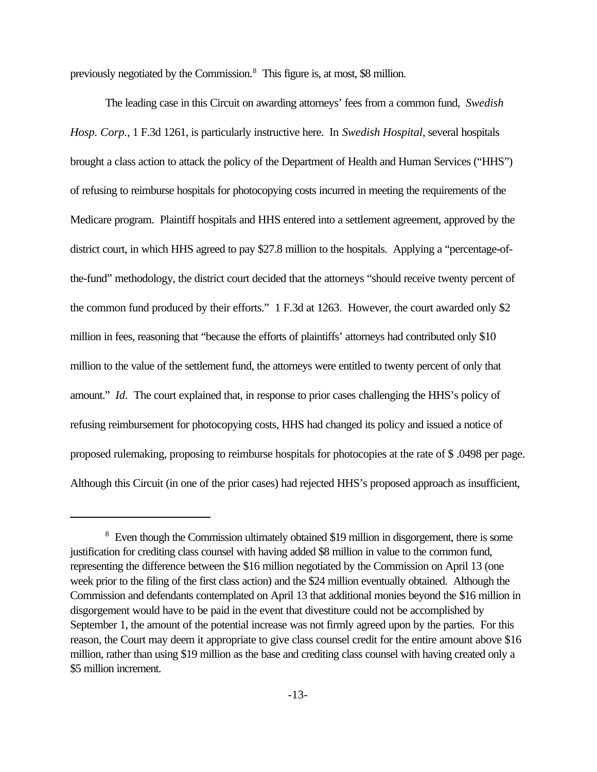previously negotiated by the Commission.<sup>8</sup> This figure is, at most, \$8 million.

The leading case in this Circuit on awarding attorneys' fees from a common fund, *Swedish Hosp. Corp.*, 1 F.3d 1261, is particularly instructive here. In *Swedish Hospital*, several hospitals brought a class action to attack the policy of the Department of Health and Human Services ("HHS") of refusing to reimburse hospitals for photocopying costs incurred in meeting the requirements of the Medicare program. Plaintiff hospitals and HHS entered into a settlement agreement, approved by the district court, in which HHS agreed to pay \$27.8 million to the hospitals. Applying a "percentage-ofthe-fund" methodology, the district court decided that the attorneys "should receive twenty percent of the common fund produced by their efforts." 1 F.3d at 1263. However, the court awarded only \$2 million in fees, reasoning that "because the efforts of plaintiffs' attorneys had contributed only \$10 million to the value of the settlement fund, the attorneys were entitled to twenty percent of only that amount." *Id.* The court explained that, in response to prior cases challenging the HHS's policy of refusing reimbursement for photocopying costs, HHS had changed its policy and issued a notice of proposed rulemaking, proposing to reimburse hospitals for photocopies at the rate of \$ .0498 per page. Although this Circuit (in one of the prior cases) had rejected HHS's proposed approach as insufficient,

<sup>&</sup>lt;sup>8</sup> Even though the Commission ultimately obtained \$19 million in disgorgement, there is some justification for crediting class counsel with having added \$8 million in value to the common fund, representing the difference between the \$16 million negotiated by the Commission on April 13 (one week prior to the filing of the first class action) and the \$24 million eventually obtained. Although the Commission and defendants contemplated on April 13 that additional monies beyond the \$16 million in disgorgement would have to be paid in the event that divestiture could not be accomplished by September 1, the amount of the potential increase was not firmly agreed upon by the parties. For this reason, the Court may deem it appropriate to give class counsel credit for the entire amount above \$16 million, rather than using \$19 million as the base and crediting class counsel with having created only a \$5 million increment.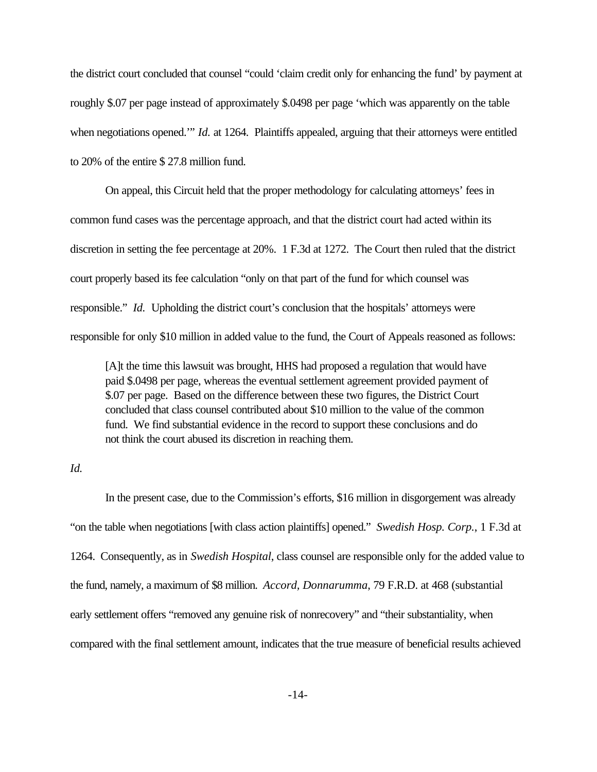the district court concluded that counsel "could 'claim credit only for enhancing the fund' by payment at roughly \$.07 per page instead of approximately \$.0498 per page 'which was apparently on the table when negotiations opened.'" *Id.* at 1264. Plaintiffs appealed, arguing that their attorneys were entitled to 20% of the entire \$ 27.8 million fund.

On appeal, this Circuit held that the proper methodology for calculating attorneys' fees in common fund cases was the percentage approach, and that the district court had acted within its discretion in setting the fee percentage at 20%. 1 F.3d at 1272. The Court then ruled that the district court properly based its fee calculation "only on that part of the fund for which counsel was responsible." *Id.* Upholding the district court's conclusion that the hospitals' attorneys were responsible for only \$10 million in added value to the fund, the Court of Appeals reasoned as follows:

[A]t the time this lawsuit was brought, HHS had proposed a regulation that would have paid \$.0498 per page, whereas the eventual settlement agreement provided payment of \$.07 per page. Based on the difference between these two figures, the District Court concluded that class counsel contributed about \$10 million to the value of the common fund. We find substantial evidence in the record to support these conclusions and do not think the court abused its discretion in reaching them.

### *Id.*

In the present case, due to the Commission's efforts, \$16 million in disgorgement was already "on the table when negotiations [with class action plaintiffs] opened." *Swedish Hosp. Corp.*, 1 F.3d at 1264. Consequently, as in *Swedish Hospital*, class counsel are responsible only for the added value to the fund, namely, a maximum of \$8 million. *Accord, Donnarumma*, 79 F.R.D. at 468 (substantial early settlement offers "removed any genuine risk of nonrecovery" and "their substantiality, when compared with the final settlement amount, indicates that the true measure of beneficial results achieved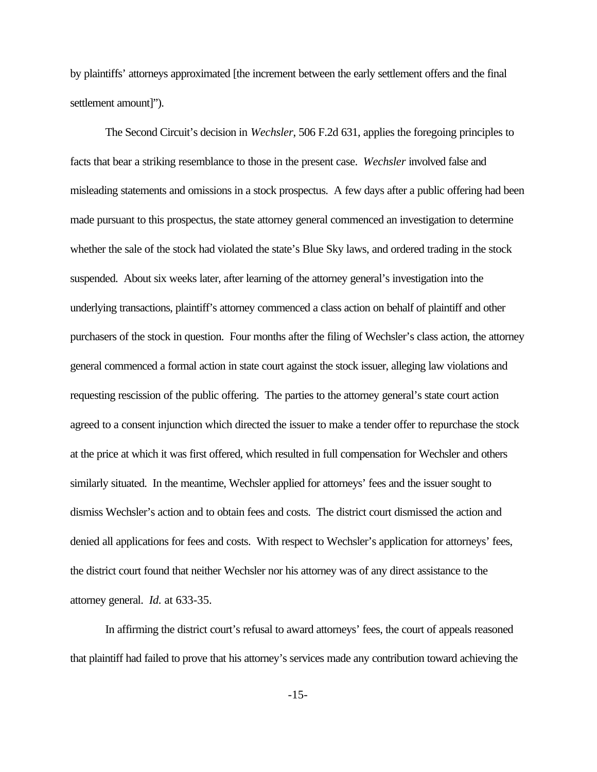by plaintiffs' attorneys approximated [the increment between the early settlement offers and the final settlement amount]").

The Second Circuit's decision in *Wechsler*, 506 F.2d 631, applies the foregoing principles to facts that bear a striking resemblance to those in the present case. *Wechsler* involved false and misleading statements and omissions in a stock prospectus. A few days after a public offering had been made pursuant to this prospectus, the state attorney general commenced an investigation to determine whether the sale of the stock had violated the state's Blue Sky laws, and ordered trading in the stock suspended. About six weeks later, after learning of the attorney general's investigation into the underlying transactions, plaintiff's attorney commenced a class action on behalf of plaintiff and other purchasers of the stock in question. Four months after the filing of Wechsler's class action, the attorney general commenced a formal action in state court against the stock issuer, alleging law violations and requesting rescission of the public offering. The parties to the attorney general's state court action agreed to a consent injunction which directed the issuer to make a tender offer to repurchase the stock at the price at which it was first offered, which resulted in full compensation for Wechsler and others similarly situated. In the meantime, Wechsler applied for attorneys' fees and the issuer sought to dismiss Wechsler's action and to obtain fees and costs. The district court dismissed the action and denied all applications for fees and costs. With respect to Wechsler's application for attorneys' fees, the district court found that neither Wechsler nor his attorney was of any direct assistance to the attorney general. *Id.* at 633-35.

In affirming the district court's refusal to award attorneys' fees, the court of appeals reasoned that plaintiff had failed to prove that his attorney's services made any contribution toward achieving the

-15-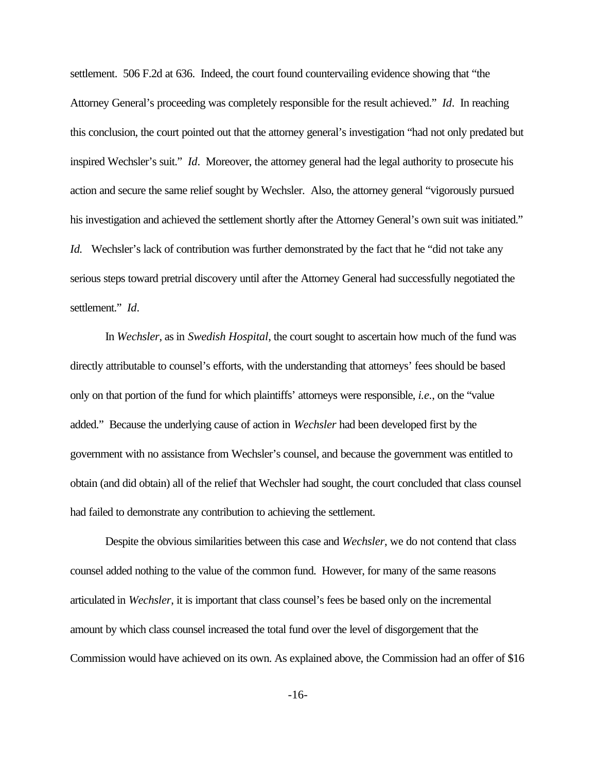settlement. 506 F.2d at 636. Indeed, the court found countervailing evidence showing that "the Attorney General's proceeding was completely responsible for the result achieved." *Id*. In reaching this conclusion, the court pointed out that the attorney general's investigation "had not only predated but inspired Wechsler's suit." *Id*. Moreover, the attorney general had the legal authority to prosecute his action and secure the same relief sought by Wechsler. Also, the attorney general "vigorously pursued his investigation and achieved the settlement shortly after the Attorney General's own suit was initiated." *Id.* Wechsler's lack of contribution was further demonstrated by the fact that he "did not take any serious steps toward pretrial discovery until after the Attorney General had successfully negotiated the settlement." *Id*.

In *Wechsler*, as in *Swedish Hospital*, the court sought to ascertain how much of the fund was directly attributable to counsel's efforts, with the understanding that attorneys' fees should be based only on that portion of the fund for which plaintiffs' attorneys were responsible, *i.e.*, on the "value added." Because the underlying cause of action in *Wechsler* had been developed first by the government with no assistance from Wechsler's counsel, and because the government was entitled to obtain (and did obtain) all of the relief that Wechsler had sought, the court concluded that class counsel had failed to demonstrate any contribution to achieving the settlement.

Despite the obvious similarities between this case and *Wechsler*, we do not contend that class counsel added nothing to the value of the common fund. However, for many of the same reasons articulated in *Wechsler*, it is important that class counsel's fees be based only on the incremental amount by which class counsel increased the total fund over the level of disgorgement that the Commission would have achieved on its own. As explained above, the Commission had an offer of \$16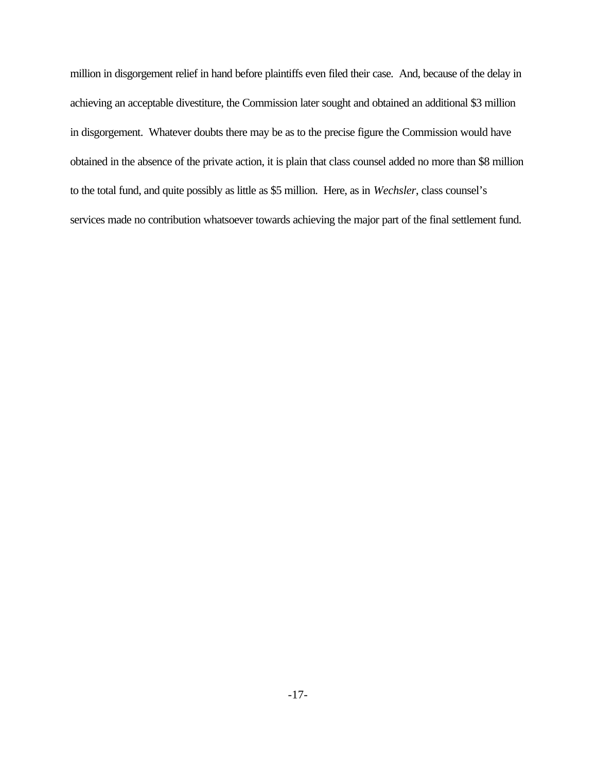million in disgorgement relief in hand before plaintiffs even filed their case. And, because of the delay in achieving an acceptable divestiture, the Commission later sought and obtained an additional \$3 million in disgorgement. Whatever doubts there may be as to the precise figure the Commission would have obtained in the absence of the private action, it is plain that class counsel added no more than \$8 million to the total fund, and quite possibly as little as \$5 million. Here, as in *Wechsler*, class counsel's services made no contribution whatsoever towards achieving the major part of the final settlement fund.